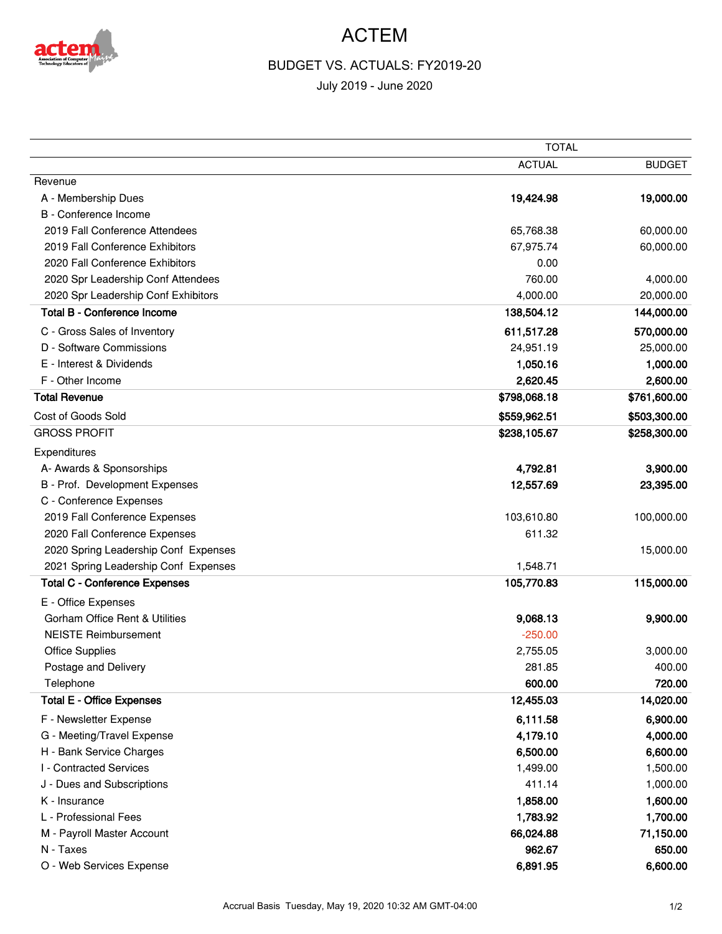

## ACTEM

## BUDGET VS. ACTUALS: FY2019-20

July 2019 - June 2020

|                                           | <b>TOTAL</b>  |               |
|-------------------------------------------|---------------|---------------|
|                                           | <b>ACTUAL</b> | <b>BUDGET</b> |
| Revenue                                   |               |               |
| A - Membership Dues                       | 19,424.98     | 19,000.00     |
| B - Conference Income                     |               |               |
| 2019 Fall Conference Attendees            | 65,768.38     | 60,000.00     |
| 2019 Fall Conference Exhibitors           | 67,975.74     | 60,000.00     |
| 2020 Fall Conference Exhibitors           | 0.00          |               |
| 2020 Spr Leadership Conf Attendees        | 760.00        | 4,000.00      |
| 2020 Spr Leadership Conf Exhibitors       | 4,000.00      | 20,000.00     |
| <b>Total B - Conference Income</b>        | 138,504.12    | 144,000.00    |
| C - Gross Sales of Inventory              | 611,517.28    | 570,000.00    |
| D - Software Commissions                  | 24,951.19     | 25,000.00     |
| E - Interest & Dividends                  | 1,050.16      | 1,000.00      |
| F - Other Income                          | 2,620.45      | 2,600.00      |
| <b>Total Revenue</b>                      | \$798,068.18  | \$761,600.00  |
| Cost of Goods Sold                        | \$559,962.51  | \$503,300.00  |
| <b>GROSS PROFIT</b>                       | \$238,105.67  | \$258,300.00  |
| Expenditures                              |               |               |
| A- Awards & Sponsorships                  | 4,792.81      | 3,900.00      |
| B - Prof. Development Expenses            | 12,557.69     | 23,395.00     |
| C - Conference Expenses                   |               |               |
| 2019 Fall Conference Expenses             | 103,610.80    | 100,000.00    |
| 2020 Fall Conference Expenses             | 611.32        |               |
| 2020 Spring Leadership Conf Expenses      |               | 15,000.00     |
| 2021 Spring Leadership Conf Expenses      | 1,548.71      |               |
| <b>Total C - Conference Expenses</b>      | 105,770.83    | 115,000.00    |
| E - Office Expenses                       |               |               |
| <b>Gorham Office Rent &amp; Utilities</b> | 9,068.13      | 9,900.00      |
| <b>NEISTE Reimbursement</b>               | $-250.00$     |               |
| <b>Office Supplies</b>                    | 2,755.05      | 3,000.00      |
| Postage and Delivery                      | 281.85        | 400.00        |
| Telephone                                 | 600.00        | 720.00        |
| <b>Total E - Office Expenses</b>          | 12,455.03     | 14,020.00     |
| F - Newsletter Expense                    | 6,111.58      | 6,900.00      |
| G - Meeting/Travel Expense                | 4,179.10      | 4,000.00      |
| H - Bank Service Charges                  | 6,500.00      | 6,600.00      |
| I - Contracted Services                   | 1,499.00      | 1,500.00      |
| J - Dues and Subscriptions                | 411.14        | 1,000.00      |
| K - Insurance                             | 1,858.00      | 1,600.00      |
| L - Professional Fees                     | 1,783.92      | 1,700.00      |
| M - Payroll Master Account                | 66,024.88     | 71,150.00     |
| N - Taxes                                 | 962.67        | 650.00        |
| O - Web Services Expense                  | 6,891.95      | 6,600.00      |